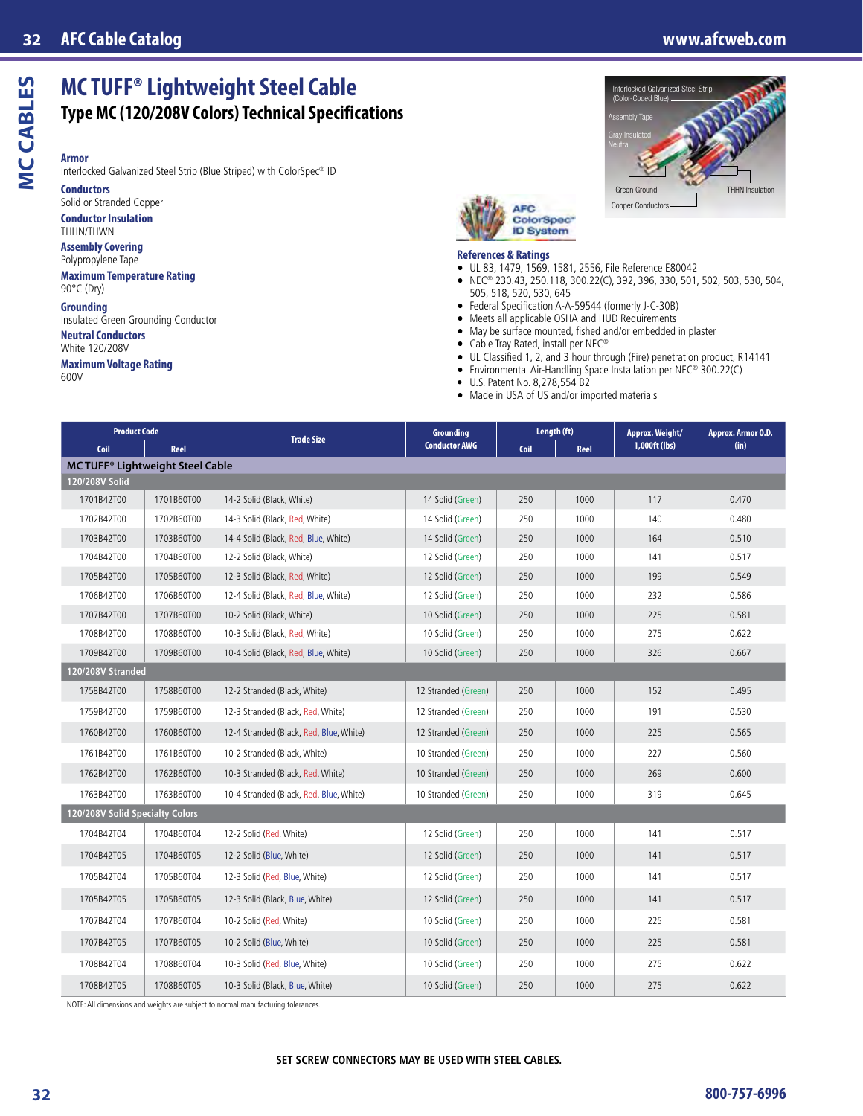# **MCCABLES MC CABLES**

**Armor** Interlocked Galvanized Steel Strip (Blue Striped) with ColorSpec® ID

**MC TUFF® Lightweight Steel Cable**

**Type MC (120/208V Colors) Technical Specifications**

**Conductors**

Solid or Stranded Copper **Conductor Insulation**

THHN/THWN

**Assembly Covering** Polypropylene Tape

**Maximum Temperature Rating** 90°C (Dry)

#### **Grounding**

Insulated Green Grounding Conductor **Neutral Conductors**

White 120/208V

#### **Maximum Voltage Rating**

600V





#### **References & Ratings**

- UL 83, 1479, 1569, 1581, 2556, File Reference E80042
- NEC® 230.43, 250.118, 300.22(C), 392, 396, 330, 501, 502, 503, 530, 504, 505, 518, 520, 530, 645
- Federal Specification A-A-59544 (formerly J-C-30B)
- Meets all applicable OSHA and HUD Requirements<br>• May be surface mounted, fished and/or embedded
- May be surface mounted, fished and/or embedded in plaster
- Cable Tray Rated, install per NEC®
- UL Classified 1, 2, and 3 hour through (Fire) penetration product, R14141
- Environmental Air-Handling Space Installation per NEC® 300.22(C)
- U.S. Patent No. 8,278,554 B2
- Made in USA of US and/or imported materials

| <b>Product Code</b>              |            | <b>Trade Size</b>                       | <b>Grounding</b>     | Length (ft) |      | Approx. Weight/ | Approx. Armor O.D. |  |  |  |  |
|----------------------------------|------------|-----------------------------------------|----------------------|-------------|------|-----------------|--------------------|--|--|--|--|
| Coil                             | Reel       |                                         | <b>Conductor AWG</b> | Coil        | Reel | 1,000ft (lbs)   | (in)               |  |  |  |  |
| MC TUFF® Lightweight Steel Cable |            |                                         |                      |             |      |                 |                    |  |  |  |  |
| 120/208V Solid                   |            |                                         |                      |             |      |                 |                    |  |  |  |  |
| 1701B42T00                       | 1701B60T00 | 14-2 Solid (Black, White)               | 14 Solid (Green)     | 250         | 1000 | 117             | 0.470              |  |  |  |  |
| 1702B42T00                       | 1702B60T00 | 14-3 Solid (Black, Red, White)          | 14 Solid (Green)     | 250         | 1000 | 140             | 0.480              |  |  |  |  |
| 1703B42T00                       | 1703B60T00 | 14-4 Solid (Black, Red, Blue, White)    | 14 Solid (Green)     | 250         | 1000 | 164             | 0.510              |  |  |  |  |
| 1704B42T00                       | 1704B60T00 | 12-2 Solid (Black, White)               | 12 Solid (Green)     | 250         | 1000 | 141             | 0.517              |  |  |  |  |
| 1705B42T00                       | 1705B60T00 | 12-3 Solid (Black, Red, White)          | 12 Solid (Green)     | 250         | 1000 | 199             | 0.549              |  |  |  |  |
| 1706B42T00                       | 1706B60T00 | 12-4 Solid (Black, Red, Blue, White)    | 12 Solid (Green)     | 250         | 1000 | 232             | 0.586              |  |  |  |  |
| 1707B42T00                       | 1707B60T00 | 10-2 Solid (Black, White)               | 10 Solid (Green)     | 250         | 1000 | 225             | 0.581              |  |  |  |  |
| 1708B42T00                       | 1708B60T00 | 10-3 Solid (Black, Red, White)          | 10 Solid (Green)     | 250         | 1000 | 275             | 0.622              |  |  |  |  |
| 1709B42T00                       | 1709B60T00 | 10-4 Solid (Black, Red, Blue, White)    | 10 Solid (Green)     | 250         | 1000 | 326             | 0.667              |  |  |  |  |
| 120/208V Stranded                |            |                                         |                      |             |      |                 |                    |  |  |  |  |
| 1758B42T00                       | 1758B60T00 | 12-2 Stranded (Black, White)            | 12 Stranded (Green)  | 250         | 1000 | 152             | 0.495              |  |  |  |  |
| 1759B42T00                       | 1759B60T00 | 12-3 Stranded (Black, Red, White)       | 12 Stranded (Green)  | 250         | 1000 | 191             | 0.530              |  |  |  |  |
| 1760B42T00                       | 1760B60T00 | 12-4 Stranded (Black, Red, Blue, White) | 12 Stranded (Green)  | 250         | 1000 | 225             | 0.565              |  |  |  |  |
| 1761B42T00                       | 1761B60T00 | 10-2 Stranded (Black, White)            | 10 Stranded (Green)  | 250         | 1000 | 227             | 0.560              |  |  |  |  |
| 1762B42T00                       | 1762B60T00 | 10-3 Stranded (Black, Red, White)       | 10 Stranded (Green)  | 250         | 1000 | 269             | 0.600              |  |  |  |  |
| 1763B42T00                       | 1763B60T00 | 10-4 Stranded (Black, Red, Blue, White) | 10 Stranded (Green)  | 250         | 1000 | 319             | 0.645              |  |  |  |  |
| 120/208V Solid Specialty Colors  |            |                                         |                      |             |      |                 |                    |  |  |  |  |
| 1704B42T04                       | 1704B60T04 | 12-2 Solid (Red, White)                 | 12 Solid (Green)     | 250         | 1000 | 141             | 0.517              |  |  |  |  |
| 1704B42T05                       | 1704B60T05 | 12-2 Solid (Blue, White)                | 12 Solid (Green)     | 250         | 1000 | 141             | 0.517              |  |  |  |  |
| 1705B42T04                       | 1705B60T04 | 12-3 Solid (Red, Blue, White)           | 12 Solid (Green)     | 250         | 1000 | 141             | 0.517              |  |  |  |  |
| 1705B42T05                       | 1705B60T05 | 12-3 Solid (Black, Blue, White)         | 12 Solid (Green)     | 250         | 1000 | 141             | 0.517              |  |  |  |  |
| 1707B42T04                       | 1707B60T04 | 10-2 Solid (Red, White)                 | 10 Solid (Green)     | 250         | 1000 | 225             | 0.581              |  |  |  |  |
| 1707B42T05                       | 1707B60T05 | 10-2 Solid (Blue, White)                | 10 Solid (Green)     | 250         | 1000 | 225             | 0.581              |  |  |  |  |
| 1708B42T04                       | 1708B60T04 | 10-3 Solid (Red, Blue, White)           | 10 Solid (Green)     | 250         | 1000 | 275             | 0.622              |  |  |  |  |
| 1708B42T05                       | 1708B60T05 | 10-3 Solid (Black, Blue, White)         | 10 Solid (Green)     | 250         | 1000 | 275             | 0.622              |  |  |  |  |

NOTE: All dimensions and weights are subject to normal manufacturing tolerances.